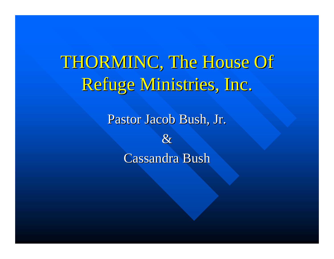THORMINC, The House Of Refuge Ministries, Inc.

Pastor Jacob Bush, Jr.

&

Cassandra Bush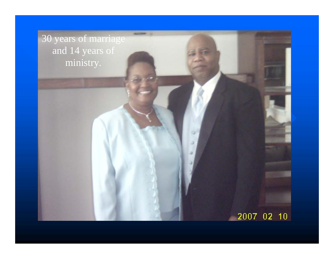30 years of marriage and 14 years of ministry.

**ARAUCHER** 

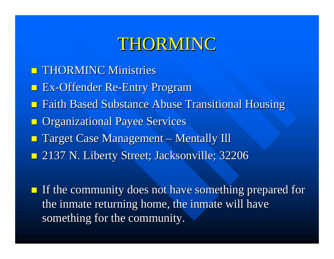### THORMINC

- **THORMINC Ministries**
- **Ex-Offender Re-Entry Program**
- **Faith Based Substance Abuse Transitional Housing**
- **n** Organizational Payee Services
- **Target Case Management**  $\mathcal{L}_{\mathcal{A}}$ — Mentally Ill
- 2137 N. Liberty Street; Jacksonville; 32206 2137 N. Liberty Street; Jacksonville; 32206
- If the community does not have something prepared for the inmate returning home, the inmate will have something for the community.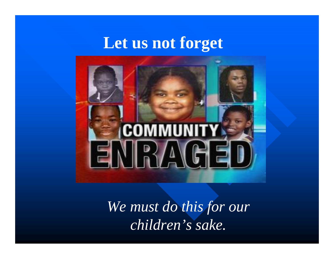### **Let us not forget**



*We must do this for our children's sake.*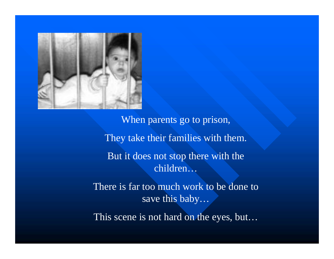

When parents go to prison, They take their families with them. But it does not stop there with the children…

There is far too much work to be done to save this baby…

This scene is not hard on the eyes, but…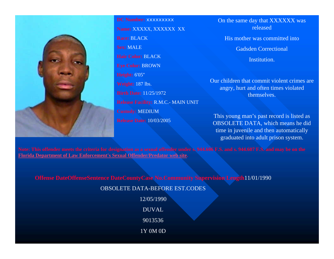

**DC Number:** xxxxxxxxx**Name:** XXXXX, XXXXXX XX **Race:** BLACK**Sex:** MALE**Hair Color:** BLACK**Eye Color:** BROWN **Height:** 6'05'' **Weight:** 187 lbs. **Birth Date:** 11/25/1972**Release Facility:** R.M.C.- MAIN UNIT **Custody:** MEDIUM **Release Date:** 10/03/2005

On the same day that XXXXXX was released

His mother was committed into

Gadsden Correctional

Institution.

Our children that commit violent crimes are angry, hurt and often times violated themselves.

This young man's past record is listed as OBSOLETE DATA, which means he did time in juvenile and then automatically graduated into adult prison system.

**[Florida Department of Law Enforcement's Sexual Offender/Predator](http://www3.fdle.state.fl.us/Sexual_Predators/) web site.**

**Offense DateOffenseSentence DateCountyCase No.Community Supervision Length**11/01/1990

OBSOLETE DATA-BEFORE EST.CODES

12/05/1990DUVAL90135361Y 0M 0D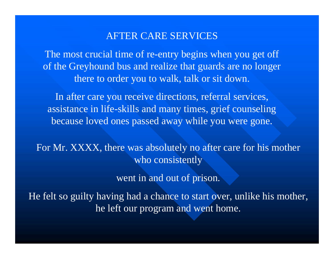#### AFTER CARE SERVICES

The most crucial time of re-entry begins when you get off of the Greyhound bus and realize that guards are no longer there to order you to walk, talk or sit down.

In after care you receive directions, referral services, assistance in life-skills and many times, grief counseling because loved ones passed away while you were gone.

For Mr. XXXX, there was absolutely no after care for his mother who consistently

went in and out of prison.

He felt so guilty having had a chance to start over, unlike his mother, he left our program and went home.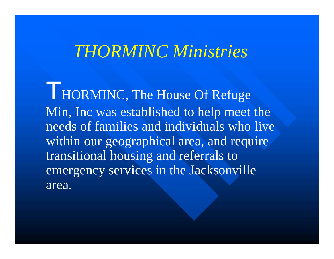### *THORMINC Ministries*

HORMINC, The House Of Refuge Min, Inc was established to help meet the needs of families and individuals who live within our geographical area, and require transitional housing and referrals to emergency services in the Jacksonville area.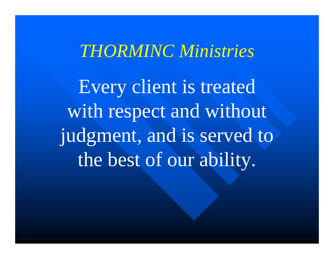### *THORMINC Ministries*

Every client is treated with respect and without judgment, and is served to the best of our ability.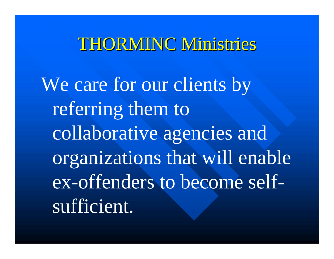### THORMINC Ministries

We care for our clients by referring them to collaborative agencies and organizations that will enable ex-offenders to become selfsufficient.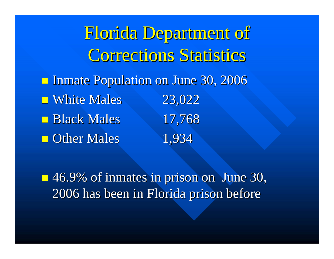Florida Department of Corrections Statistics **Inmate Population on June 30, 2006**  $\blacksquare$  White Males 23,022  $\blacksquare$  Black Males 17,768 **Other Males** 1,934

 46.9% of inmates in prison on June 30, 46.9% of inmates in prison on June 30, 2006 has been in Florida prison before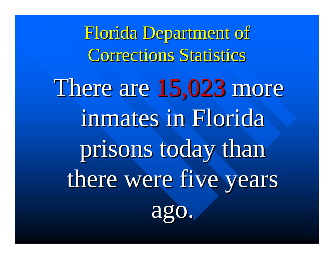Florida Department of Florida Department of Corrections Statistics There are 15,023 more inmates in Florida prisons today than there were five years ago.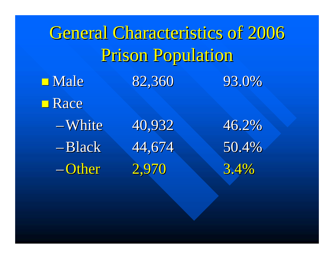General Characteristics of 2006 Prison Population **Nale** 82,360 93.0% **■ Race** –White 40,932 46.2% –Black 44,674 50.4% –Other 2,970 3.4%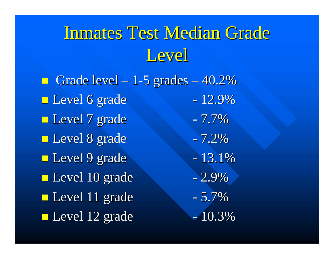## Inmates Test Median Grade Level

 $\blacksquare$  Grade level – 1-5 grades · – 40.2% **Level 6 grade** - 12.9% **Level 7 grade** - 7.7% **Level 8 grade** - 7.2% **Level 9 grade** - 13.1% **Level 10 grade** - 2.9% **Level 11 grade** - 5.7% **Level** 12 grade - 10.3%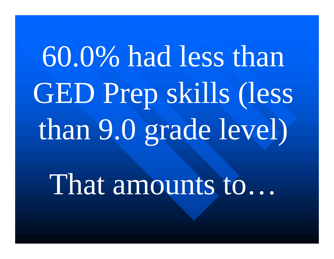# 60.0% had less than GED Prep skills (less than 9.0 grade level)

That amounts to…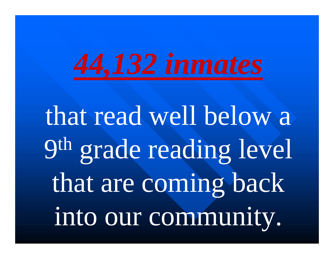

that read well below a 9th grade reading level that are coming back into our community.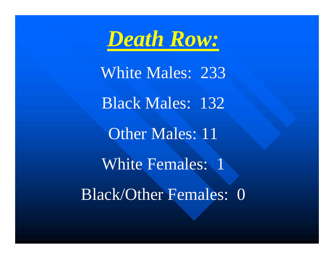

White Males: 233 Black Males: 132 Other Males: 11 White Females: 1 Black/Other Females: 0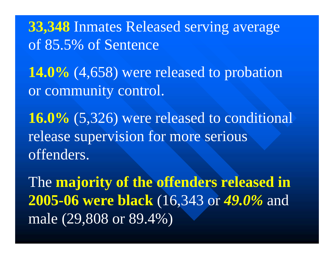**33,348** Inmates Released serving average of 85.5% of Sentence

**14.0%** (4,658) were released to probation or community control.

**16.0%** (5,326) were released to conditional release supervision for more serious offenders.

The **majority of the offenders released in 2005-06 were black** (16,343 or *49.0%* and male (29,808 or 89.4%)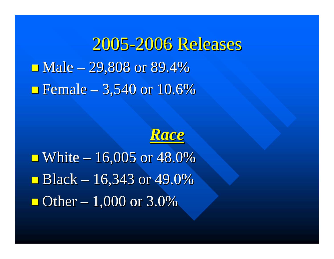2005-2006 Releases  $\blacksquare$  Male – 29,808 or 89.4% **Figure 10.6%**  $\blacksquare$  Female  $-3,540$  or 10.6%



 $\blacksquare$  White – 16,005 or 48.0% **Black** – 16,343 or 49.0%  $\blacksquare$  Other  $-1,000$  or 3.0%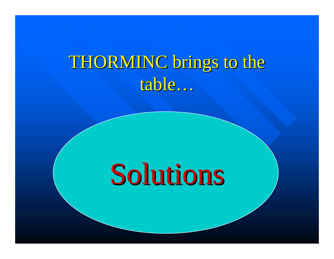# THORMINC brings to the table …

# Solutions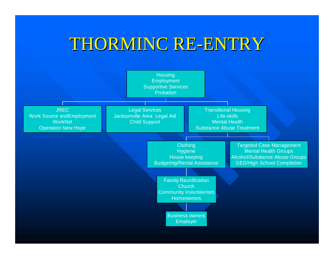### THORMINC RE-ENTRY

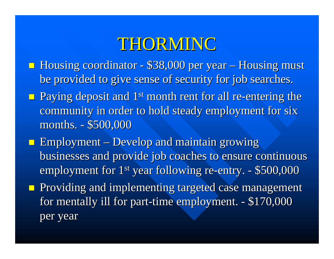### THORMINC

- **Housing coordinator \$38,000 per year Housing must** be provided to give sense of security for job searches.
- **Paying deposit and 1<sup>st</sup> month rent for all re-entering the** community in order to hold steady employment for six months. - \$500,000
- **Employment Develop and maintain growing** businesses and provide job coaches to ensure continuous employment for 1<sup>st</sup> year following re-entry. - \$500,000
- **Providing and implementing targeted case management** for mentally ill for part-time employment. - \$170,000 per year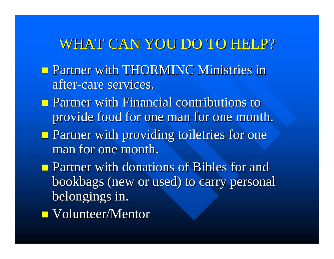### WHAT CAN YOU DO TO HELP?

- **Partner with THORMINC Ministries in** after-care services.
- $\blacksquare$  Partner with Financial contributions to provide food for one man for one month.
- **Partner with providing toiletries for one** man for one month.
- **Partner with donations of Bibles for and Partner with donations of Bibles for and** bookbags (new or used) to carry personal bookbags (new or used) to carry personal belongings in.
- $\blacksquare$  Volunteer/Mentor